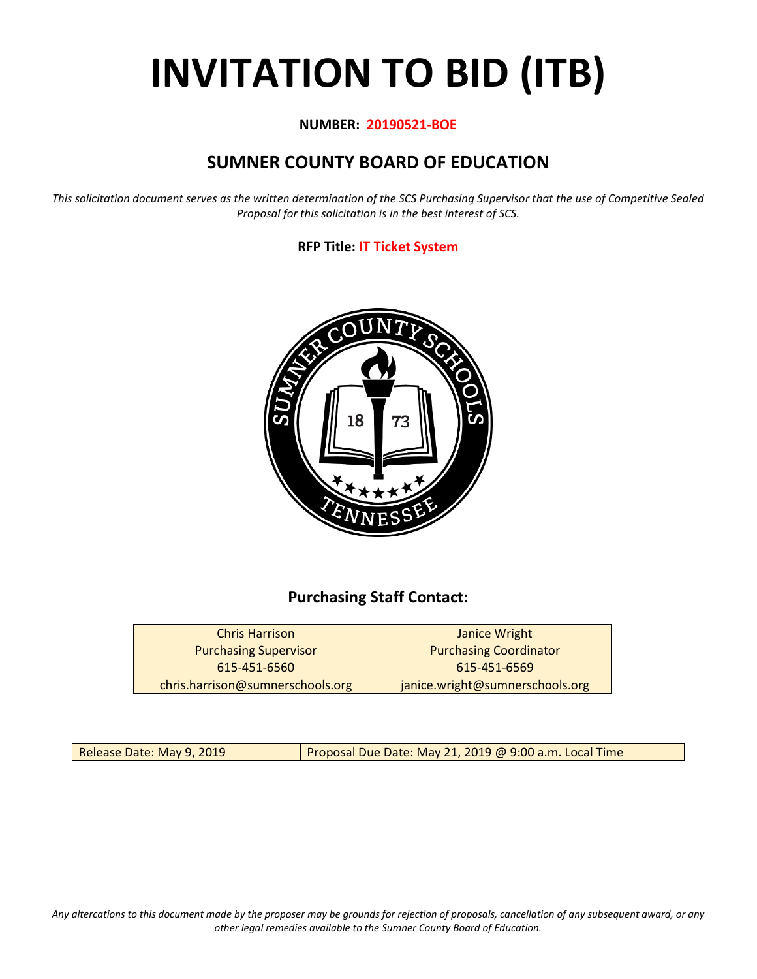# **INVITATION TO BID (ITB)**

### **NUMBER: 20190521-BOE**

# **SUMNER COUNTY BOARD OF EDUCATION**

*This solicitation document serves as the written determination of the SCS Purchasing Supervisor that the use of Competitive Sealed Proposal for this solicitation is in the best interest of SCS.*

## **RFP Title: IT Ticket System**



## **Purchasing Staff Contact:**

| <b>Chris Harrison</b>            | Janice Wright                   |
|----------------------------------|---------------------------------|
| <b>Purchasing Supervisor</b>     | <b>Purchasing Coordinator</b>   |
| 615-451-6560                     | 615-451-6569                    |
| chris.harrison@sumnerschools.org | janice.wright@sumnerschools.org |

Release Date: May 9, 2019 **Proposal Due Date: May 21, 2019 @ 9:00 a.m. Local Time** 

*Any altercations to this document made by the proposer may be grounds for rejection of proposals, cancellation of any subsequent award, or any other legal remedies available to the Sumner County Board of Education.*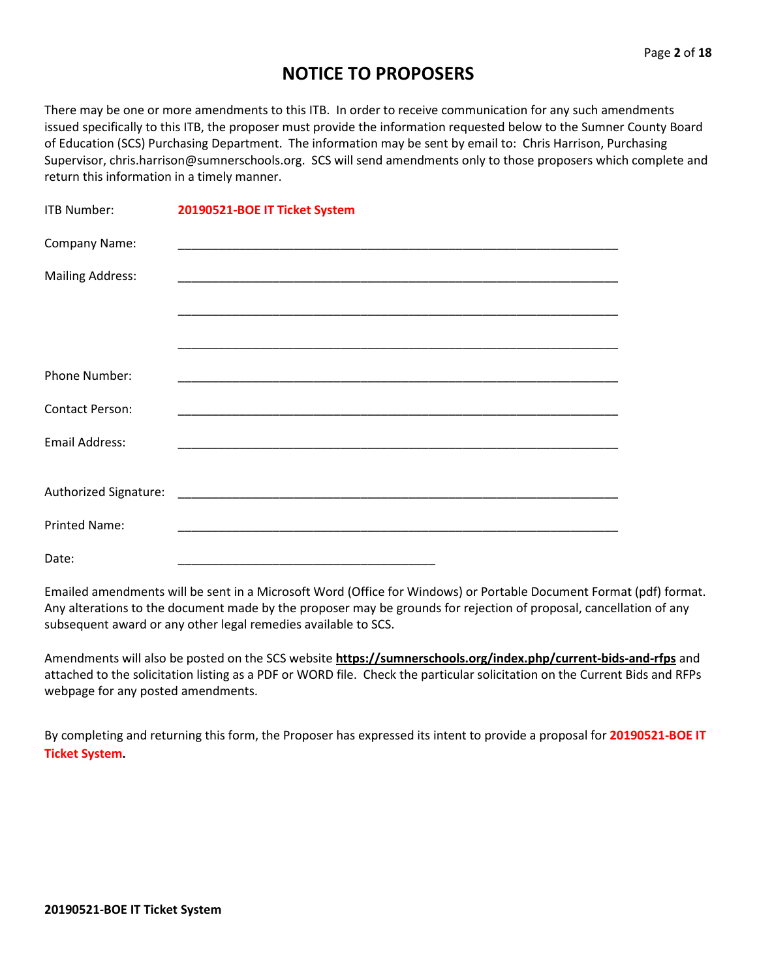# **NOTICE TO PROPOSERS**

There may be one or more amendments to this ITB. In order to receive communication for any such amendments issued specifically to this ITB, the proposer must provide the information requested below to the Sumner County Board of Education (SCS) Purchasing Department. The information may be sent by email to: Chris Harrison, Purchasing Supervisor, chris.harrison@sumnerschools.org. SCS will send amendments only to those proposers which complete and return this information in a timely manner.

| <b>ITB Number:</b>      | 20190521-BOE IT Ticket System                                                                                        |
|-------------------------|----------------------------------------------------------------------------------------------------------------------|
| Company Name:           |                                                                                                                      |
| <b>Mailing Address:</b> |                                                                                                                      |
|                         |                                                                                                                      |
|                         |                                                                                                                      |
| <b>Phone Number:</b>    | <u> 1989 - Johann John Stone, markin film yn y brenin y brenin y brenin y brenin y brenin y brenin y brenin y br</u> |
| Contact Person:         |                                                                                                                      |
| <b>Email Address:</b>   |                                                                                                                      |
|                         |                                                                                                                      |
| <b>Printed Name:</b>    |                                                                                                                      |
| Date:                   |                                                                                                                      |

Emailed amendments will be sent in a Microsoft Word (Office for Windows) or Portable Document Format (pdf) format. Any alterations to the document made by the proposer may be grounds for rejection of proposal, cancellation of any subsequent award or any other legal remedies available to SCS.

Amendments will also be posted on the SCS website **https://sumnerschools.org/index.php/current-bids-and-rfps** and attached to the solicitation listing as a PDF or WORD file. Check the particular solicitation on the Current Bids and RFPs webpage for any posted amendments.

By completing and returning this form, the Proposer has expressed its intent to provide a proposal for **20190521-BOE IT Ticket System.**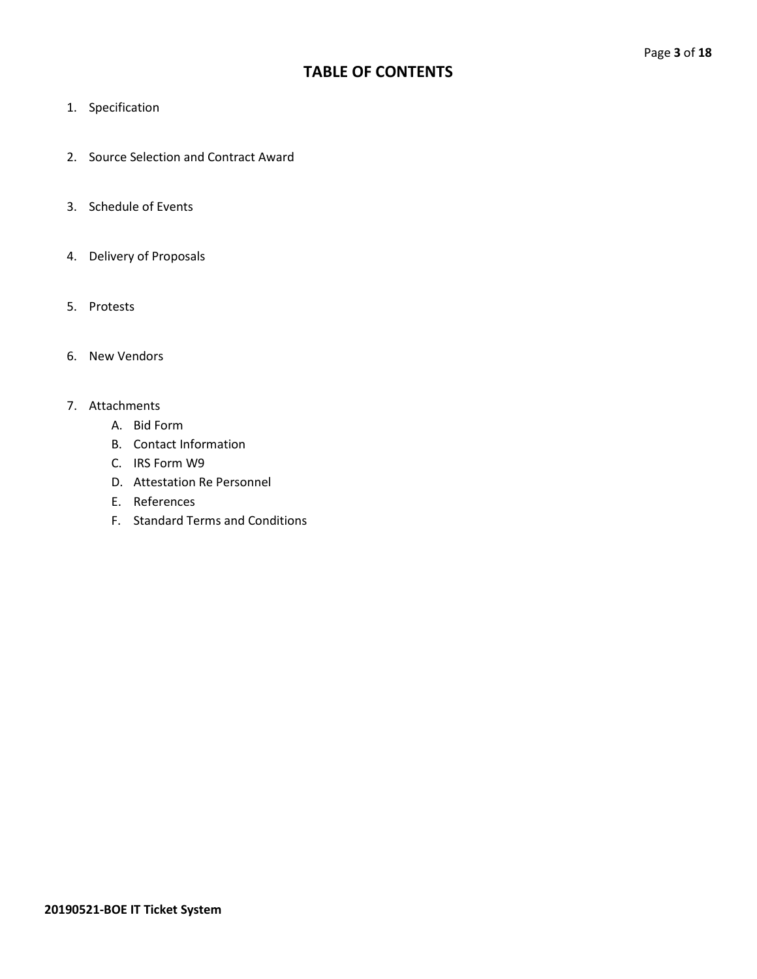## **TABLE OF CONTENTS**

- 1. Specification
- 2. Source Selection and Contract Award
- 3. Schedule of Events
- 4. Delivery of Proposals
- 5. Protests
- 6. New Vendors

#### 7. Attachments

- A. Bid Form
- B. Contact Information
- C. IRS Form W9
- D. Attestation Re Personnel
- E. References
- F. Standard Terms and Conditions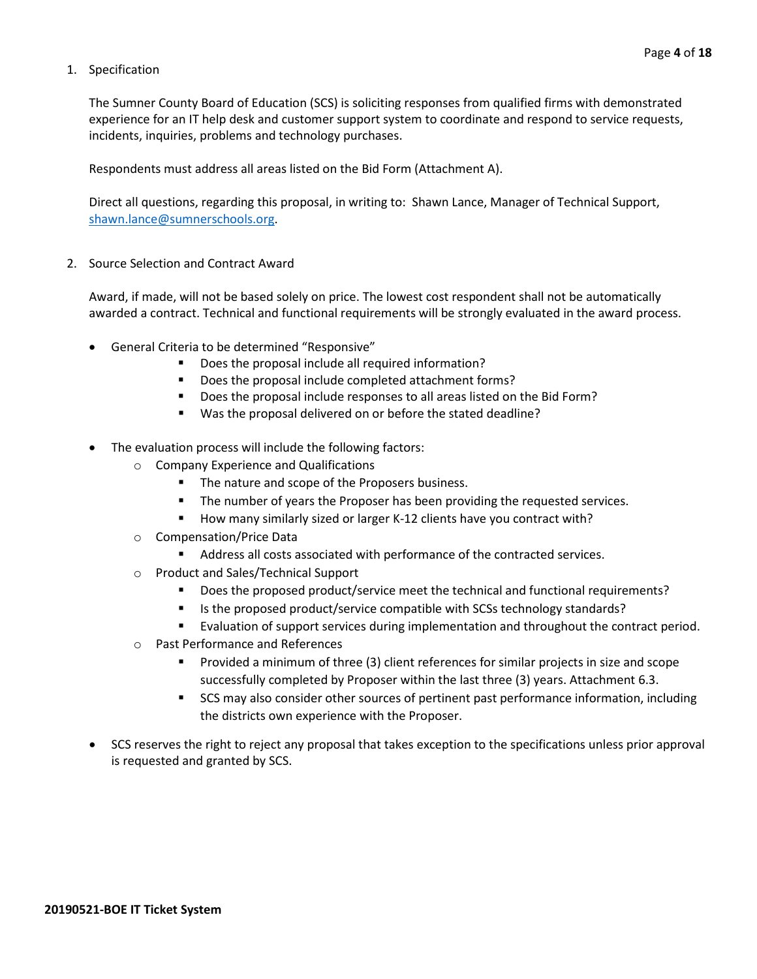#### 1. Specification

The Sumner County Board of Education (SCS) is soliciting responses from qualified firms with demonstrated experience for an IT help desk and customer support system to coordinate and respond to service requests, incidents, inquiries, problems and technology purchases.

Respondents must address all areas listed on the Bid Form (Attachment A).

Direct all questions, regarding this proposal, in writing to: Shawn Lance, Manager of Technical Support, [shawn.lance@sumnerschools.org.](mailto:shawn.lance@sumnerschools.org)

2. Source Selection and Contract Award

Award, if made, will not be based solely on price. The lowest cost respondent shall not be automatically awarded a contract. Technical and functional requirements will be strongly evaluated in the award process.

- General Criteria to be determined "Responsive"
	- **•** Does the proposal include all required information?
	- Does the proposal include completed attachment forms?
	- Does the proposal include responses to all areas listed on the Bid Form?
	- Was the proposal delivered on or before the stated deadline?
- The evaluation process will include the following factors:
	- o Company Experience and Qualifications
		- The nature and scope of the Proposers business.
		- **The number of years the Proposer has been providing the requested services.**
		- How many similarly sized or larger K-12 clients have you contract with?
	- o Compensation/Price Data
		- Address all costs associated with performance of the contracted services.
	- o Product and Sales/Technical Support
		- **Does the proposed product/service meet the technical and functional requirements?**
		- Is the proposed product/service compatible with SCSs technology standards?
		- Evaluation of support services during implementation and throughout the contract period.
	- o Past Performance and References
		- **Provided a minimum of three (3) client references for similar projects in size and scope** successfully completed by Proposer within the last three (3) years. Attachment 6.3.
		- **SCS** may also consider other sources of pertinent past performance information, including the districts own experience with the Proposer.
- SCS reserves the right to reject any proposal that takes exception to the specifications unless prior approval is requested and granted by SCS.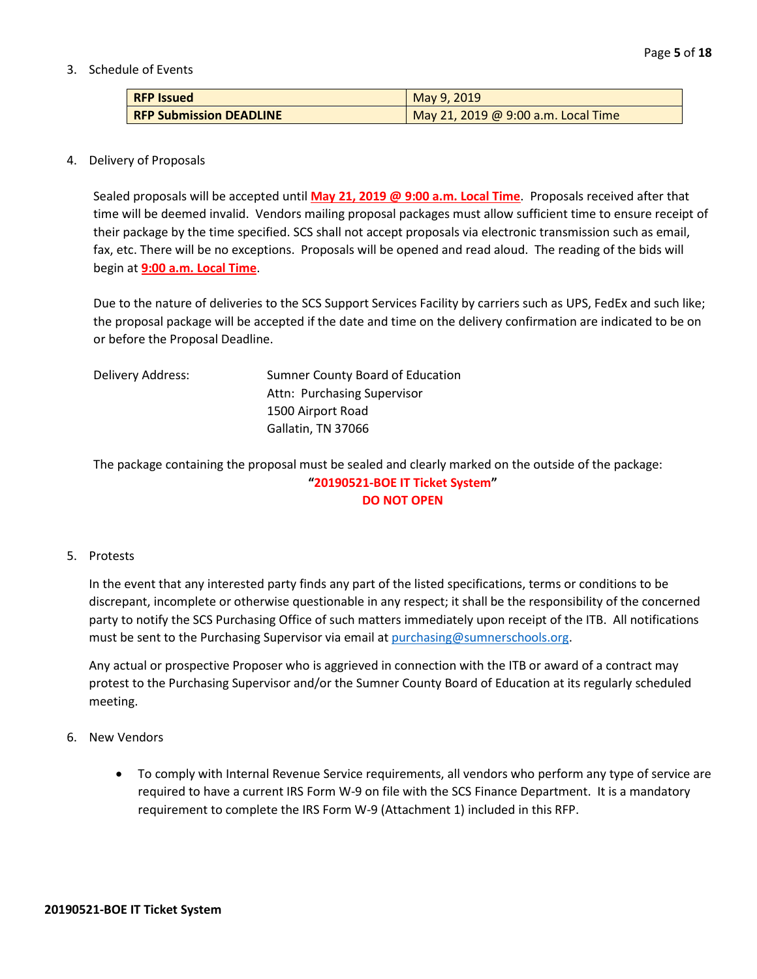#### 3. Schedule of Events

| <b>RFP Issued</b>              | May 9, 2019                         |
|--------------------------------|-------------------------------------|
| <b>RFP Submission DEADLINE</b> | May 21, 2019 @ 9:00 a.m. Local Time |

#### 4. Delivery of Proposals

Sealed proposals will be accepted until **May 21, 2019 @ 9:00 a.m. Local Time**. Proposals received after that time will be deemed invalid. Vendors mailing proposal packages must allow sufficient time to ensure receipt of their package by the time specified. SCS shall not accept proposals via electronic transmission such as email, fax, etc. There will be no exceptions. Proposals will be opened and read aloud. The reading of the bids will begin at **9:00 a.m. Local Time**.

Due to the nature of deliveries to the SCS Support Services Facility by carriers such as UPS, FedEx and such like; the proposal package will be accepted if the date and time on the delivery confirmation are indicated to be on or before the Proposal Deadline.

| Delivery Address: | Sumner County Board of Education |
|-------------------|----------------------------------|
|                   | Attn: Purchasing Supervisor      |
|                   | 1500 Airport Road                |
|                   | Gallatin, TN 37066               |

The package containing the proposal must be sealed and clearly marked on the outside of the package: **"20190521-BOE IT Ticket System" DO NOT OPEN**

#### 5. Protests

In the event that any interested party finds any part of the listed specifications, terms or conditions to be discrepant, incomplete or otherwise questionable in any respect; it shall be the responsibility of the concerned party to notify the SCS Purchasing Office of such matters immediately upon receipt of the ITB. All notifications must be sent to the Purchasing Supervisor via email at [purchasing@sumnerschools.org.](mailto:purchasing@sumnerschools.org)

Any actual or prospective Proposer who is aggrieved in connection with the ITB or award of a contract may protest to the Purchasing Supervisor and/or the Sumner County Board of Education at its regularly scheduled meeting.

#### 6. New Vendors

• To comply with Internal Revenue Service requirements, all vendors who perform any type of service are required to have a current IRS Form W-9 on file with the SCS Finance Department. It is a mandatory requirement to complete the IRS Form W-9 (Attachment 1) included in this RFP.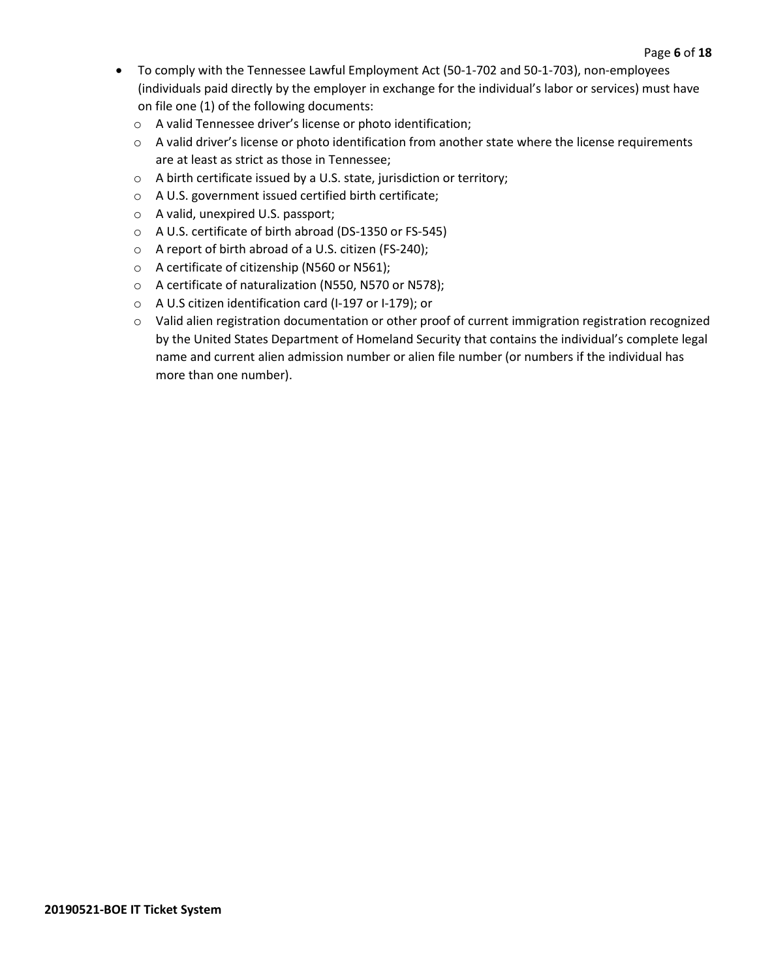- To comply with the Tennessee Lawful Employment Act (50-1-702 and 50-1-703), non-employees (individuals paid directly by the employer in exchange for the individual's labor or services) must have on file one (1) of the following documents:
	- o A valid Tennessee driver's license or photo identification;
	- o A valid driver's license or photo identification from another state where the license requirements are at least as strict as those in Tennessee;
	- o A birth certificate issued by a U.S. state, jurisdiction or territory;
	- o A U.S. government issued certified birth certificate;
	- o A valid, unexpired U.S. passport;
	- o A U.S. certificate of birth abroad (DS-1350 or FS-545)
	- o A report of birth abroad of a U.S. citizen (FS-240);
	- o A certificate of citizenship (N560 or N561);
	- o A certificate of naturalization (N550, N570 or N578);
	- o A U.S citizen identification card (I-197 or I-179); or
	- o Valid alien registration documentation or other proof of current immigration registration recognized by the United States Department of Homeland Security that contains the individual's complete legal name and current alien admission number or alien file number (or numbers if the individual has more than one number).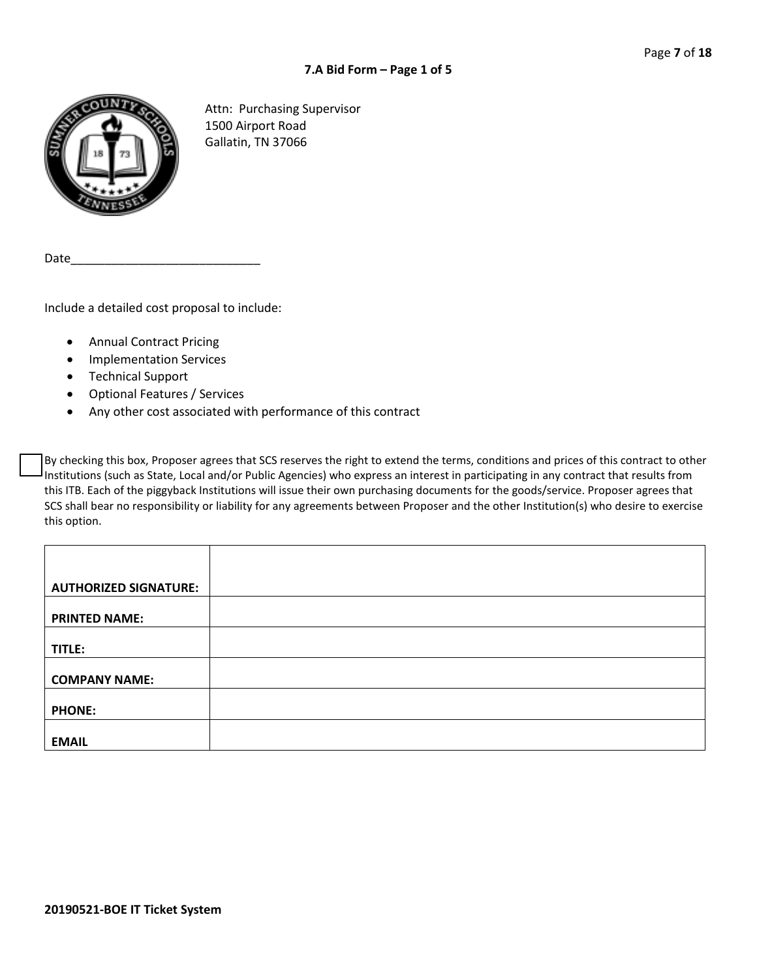

Attn: Purchasing Supervisor 1500 Airport Road Gallatin, TN 37066

Date

Include a detailed cost proposal to include:

- Annual Contract Pricing
- Implementation Services
- Technical Support
- Optional Features / Services
- Any other cost associated with performance of this contract

By checking this box, Proposer agrees that SCS reserves the right to extend the terms, conditions and prices of this contract to other Institutions (such as State, Local and/or Public Agencies) who express an interest in participating in any contract that results from this ITB. Each of the piggyback Institutions will issue their own purchasing documents for the goods/service. Proposer agrees that SCS shall bear no responsibility or liability for any agreements between Proposer and the other Institution(s) who desire to exercise this option.

| <b>AUTHORIZED SIGNATURE:</b> |  |
|------------------------------|--|
|                              |  |
| <b>PRINTED NAME:</b>         |  |
|                              |  |
| TITLE:                       |  |
|                              |  |
| <b>COMPANY NAME:</b>         |  |
|                              |  |
| <b>PHONE:</b>                |  |
|                              |  |
| <b>EMAIL</b>                 |  |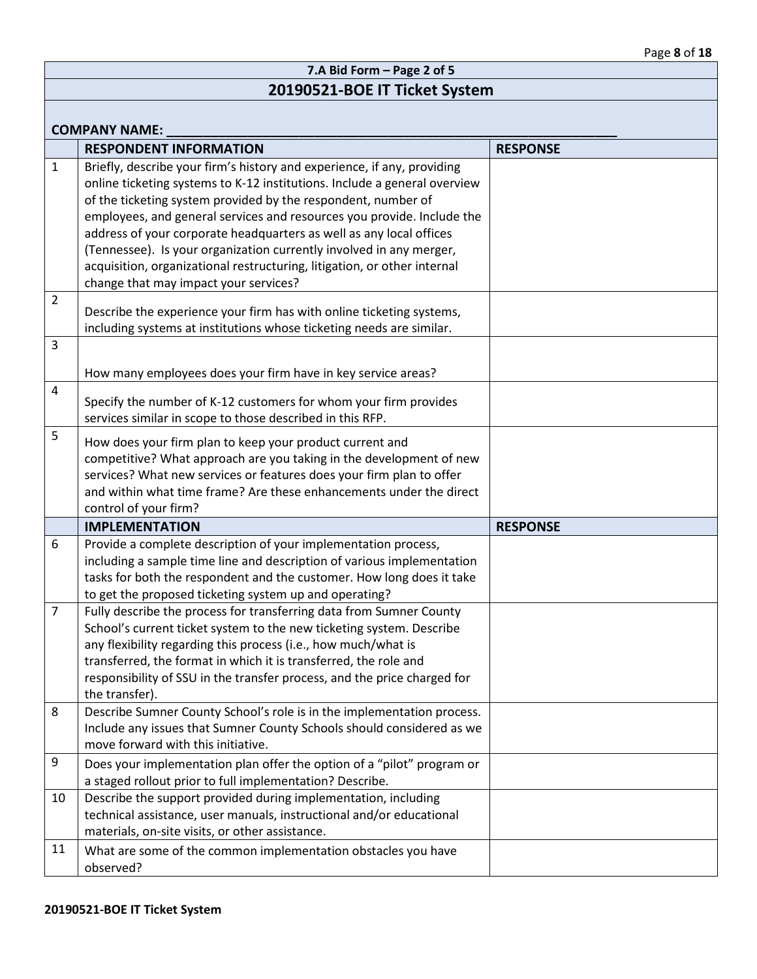|                      | 7.A Bid Form - Page 2 of 5                                                                                                                                                                                                                                                                                                                                                                                                                                                                                                                                         |                 |  |  |  |
|----------------------|--------------------------------------------------------------------------------------------------------------------------------------------------------------------------------------------------------------------------------------------------------------------------------------------------------------------------------------------------------------------------------------------------------------------------------------------------------------------------------------------------------------------------------------------------------------------|-----------------|--|--|--|
|                      | 20190521-BOE IT Ticket System                                                                                                                                                                                                                                                                                                                                                                                                                                                                                                                                      |                 |  |  |  |
| <b>COMPANY NAME:</b> |                                                                                                                                                                                                                                                                                                                                                                                                                                                                                                                                                                    |                 |  |  |  |
|                      | <b>RESPONDENT INFORMATION</b>                                                                                                                                                                                                                                                                                                                                                                                                                                                                                                                                      | <b>RESPONSE</b> |  |  |  |
| $\mathbf{1}$         | Briefly, describe your firm's history and experience, if any, providing<br>online ticketing systems to K-12 institutions. Include a general overview<br>of the ticketing system provided by the respondent, number of<br>employees, and general services and resources you provide. Include the<br>address of your corporate headquarters as well as any local offices<br>(Tennessee). Is your organization currently involved in any merger,<br>acquisition, organizational restructuring, litigation, or other internal<br>change that may impact your services? |                 |  |  |  |
| 2                    | Describe the experience your firm has with online ticketing systems,<br>including systems at institutions whose ticketing needs are similar.                                                                                                                                                                                                                                                                                                                                                                                                                       |                 |  |  |  |
| 3                    | How many employees does your firm have in key service areas?                                                                                                                                                                                                                                                                                                                                                                                                                                                                                                       |                 |  |  |  |
| 4                    | Specify the number of K-12 customers for whom your firm provides<br>services similar in scope to those described in this RFP.                                                                                                                                                                                                                                                                                                                                                                                                                                      |                 |  |  |  |
| 5                    | How does your firm plan to keep your product current and<br>competitive? What approach are you taking in the development of new<br>services? What new services or features does your firm plan to offer<br>and within what time frame? Are these enhancements under the direct<br>control of your firm?                                                                                                                                                                                                                                                            |                 |  |  |  |
|                      | <b>IMPLEMENTATION</b>                                                                                                                                                                                                                                                                                                                                                                                                                                                                                                                                              | <b>RESPONSE</b> |  |  |  |
| 6                    | Provide a complete description of your implementation process,<br>including a sample time line and description of various implementation<br>tasks for both the respondent and the customer. How long does it take<br>to get the proposed ticketing system up and operating?                                                                                                                                                                                                                                                                                        |                 |  |  |  |
| 7                    | Fully describe the process for transferring data from Sumner County<br>School's current ticket system to the new ticketing system. Describe<br>any flexibility regarding this process (i.e., how much/what is<br>transferred, the format in which it is transferred, the role and<br>responsibility of SSU in the transfer process, and the price charged for<br>the transfer).                                                                                                                                                                                    |                 |  |  |  |
| 8                    | Describe Sumner County School's role is in the implementation process.<br>Include any issues that Sumner County Schools should considered as we<br>move forward with this initiative.                                                                                                                                                                                                                                                                                                                                                                              |                 |  |  |  |
| 9                    | Does your implementation plan offer the option of a "pilot" program or<br>a staged rollout prior to full implementation? Describe.                                                                                                                                                                                                                                                                                                                                                                                                                                 |                 |  |  |  |
| 10                   | Describe the support provided during implementation, including<br>technical assistance, user manuals, instructional and/or educational<br>materials, on-site visits, or other assistance.                                                                                                                                                                                                                                                                                                                                                                          |                 |  |  |  |
| 11                   | What are some of the common implementation obstacles you have<br>observed?                                                                                                                                                                                                                                                                                                                                                                                                                                                                                         |                 |  |  |  |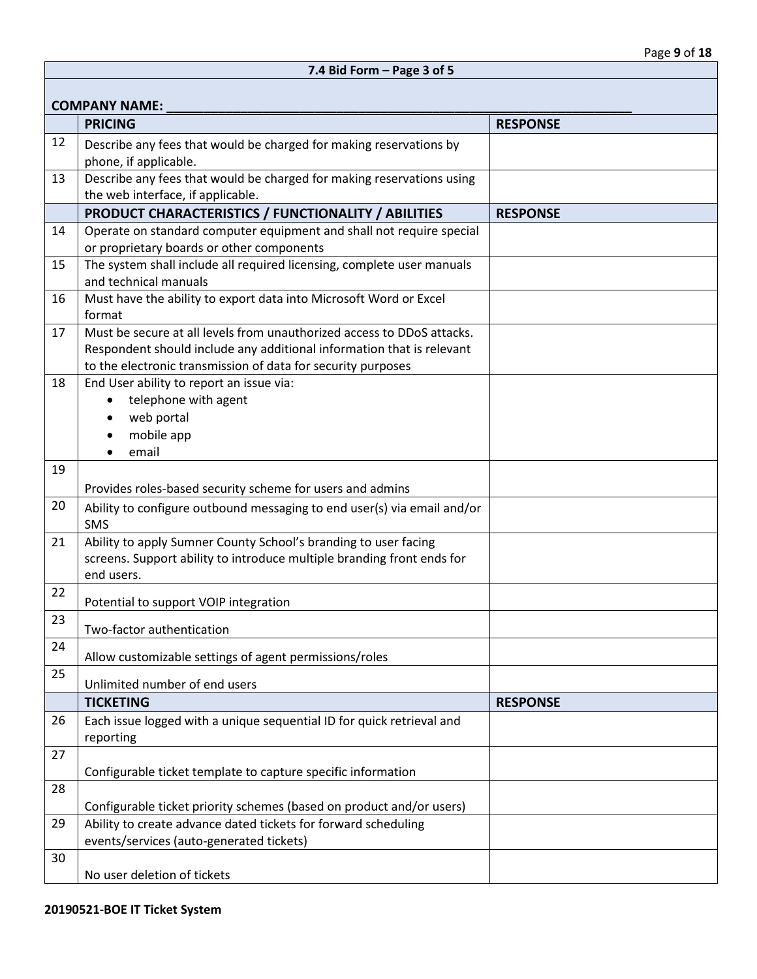|    | <b>COMPANY NAME:</b>                                                                                                                                                                                            |                 |
|----|-----------------------------------------------------------------------------------------------------------------------------------------------------------------------------------------------------------------|-----------------|
|    | <b>PRICING</b>                                                                                                                                                                                                  | <b>RESPONSE</b> |
| 12 | Describe any fees that would be charged for making reservations by                                                                                                                                              |                 |
|    | phone, if applicable.                                                                                                                                                                                           |                 |
| 13 | Describe any fees that would be charged for making reservations using                                                                                                                                           |                 |
|    | the web interface, if applicable.                                                                                                                                                                               |                 |
|    | PRODUCT CHARACTERISTICS / FUNCTIONALITY / ABILITIES                                                                                                                                                             | <b>RESPONSE</b> |
| 14 | Operate on standard computer equipment and shall not require special<br>or proprietary boards or other components                                                                                               |                 |
| 15 | The system shall include all required licensing, complete user manuals<br>and technical manuals                                                                                                                 |                 |
| 16 | Must have the ability to export data into Microsoft Word or Excel<br>format                                                                                                                                     |                 |
| 17 | Must be secure at all levels from unauthorized access to DDoS attacks.<br>Respondent should include any additional information that is relevant<br>to the electronic transmission of data for security purposes |                 |
| 18 | End User ability to report an issue via:                                                                                                                                                                        |                 |
|    | telephone with agent                                                                                                                                                                                            |                 |
|    | web portal                                                                                                                                                                                                      |                 |
|    | mobile app                                                                                                                                                                                                      |                 |
|    | email                                                                                                                                                                                                           |                 |
| 19 |                                                                                                                                                                                                                 |                 |
|    | Provides roles-based security scheme for users and admins                                                                                                                                                       |                 |
| 20 | Ability to configure outbound messaging to end user(s) via email and/or<br><b>SMS</b>                                                                                                                           |                 |
| 21 | Ability to apply Sumner County School's branding to user facing<br>screens. Support ability to introduce multiple branding front ends for<br>end users.                                                         |                 |
| 22 | Potential to support VOIP integration                                                                                                                                                                           |                 |
| 23 | Two-factor authentication                                                                                                                                                                                       |                 |
| 24 | Allow customizable settings of agent permissions/roles                                                                                                                                                          |                 |
| 25 | Unlimited number of end users                                                                                                                                                                                   |                 |
|    | <b>TICKETING</b>                                                                                                                                                                                                | <b>RESPONSE</b> |
| 26 | Each issue logged with a unique sequential ID for quick retrieval and<br>reporting                                                                                                                              |                 |
| 27 |                                                                                                                                                                                                                 |                 |
|    | Configurable ticket template to capture specific information                                                                                                                                                    |                 |
| 28 | Configurable ticket priority schemes (based on product and/or users)                                                                                                                                            |                 |
| 29 | Ability to create advance dated tickets for forward scheduling                                                                                                                                                  |                 |
|    | events/services (auto-generated tickets)                                                                                                                                                                        |                 |
| 30 |                                                                                                                                                                                                                 |                 |
|    | No user deletion of tickets                                                                                                                                                                                     |                 |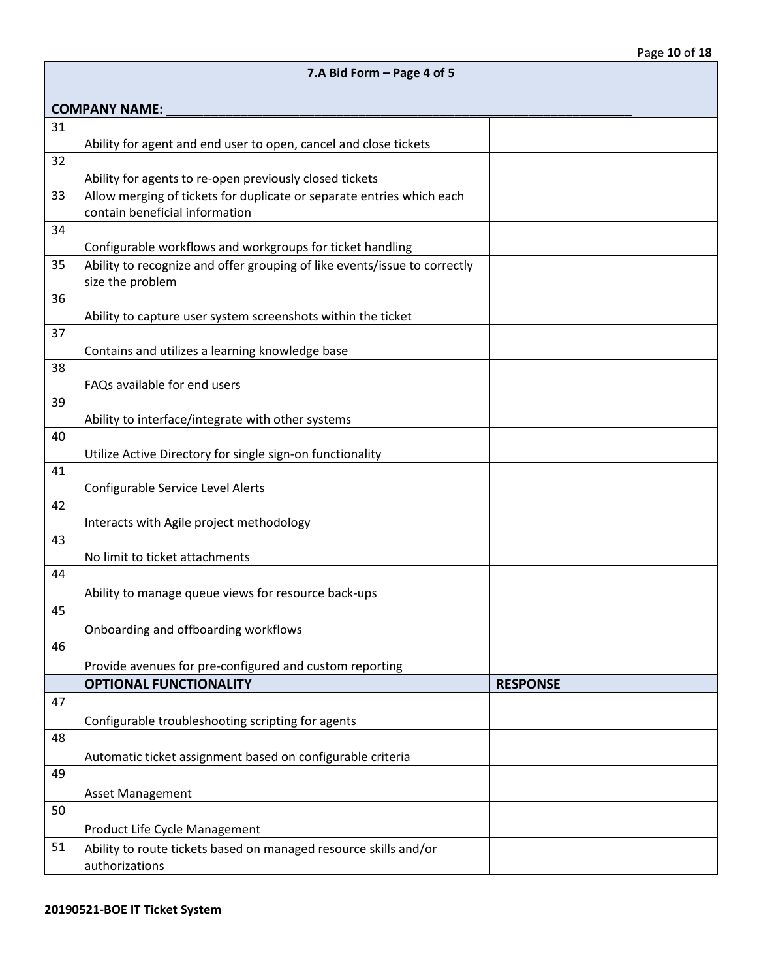|    | 7.A Bid Form - Page 4 of 5                                                                              |                 |  |  |  |
|----|---------------------------------------------------------------------------------------------------------|-----------------|--|--|--|
|    | <b>COMPANY NAME:</b>                                                                                    |                 |  |  |  |
| 31 |                                                                                                         |                 |  |  |  |
| 32 | Ability for agent and end user to open, cancel and close tickets                                        |                 |  |  |  |
|    | Ability for agents to re-open previously closed tickets                                                 |                 |  |  |  |
| 33 | Allow merging of tickets for duplicate or separate entries which each<br>contain beneficial information |                 |  |  |  |
| 34 |                                                                                                         |                 |  |  |  |
|    | Configurable workflows and workgroups for ticket handling                                               |                 |  |  |  |
| 35 | Ability to recognize and offer grouping of like events/issue to correctly<br>size the problem           |                 |  |  |  |
| 36 |                                                                                                         |                 |  |  |  |
|    | Ability to capture user system screenshots within the ticket                                            |                 |  |  |  |
| 37 | Contains and utilizes a learning knowledge base                                                         |                 |  |  |  |
| 38 |                                                                                                         |                 |  |  |  |
|    | FAQs available for end users                                                                            |                 |  |  |  |
| 39 | Ability to interface/integrate with other systems                                                       |                 |  |  |  |
| 40 |                                                                                                         |                 |  |  |  |
|    | Utilize Active Directory for single sign-on functionality                                               |                 |  |  |  |
| 41 | Configurable Service Level Alerts                                                                       |                 |  |  |  |
| 42 | Interacts with Agile project methodology                                                                |                 |  |  |  |
| 43 |                                                                                                         |                 |  |  |  |
|    | No limit to ticket attachments                                                                          |                 |  |  |  |
| 44 | Ability to manage queue views for resource back-ups                                                     |                 |  |  |  |
| 45 |                                                                                                         |                 |  |  |  |
|    | Onboarding and offboarding workflows                                                                    |                 |  |  |  |
| 46 |                                                                                                         |                 |  |  |  |
|    | Provide avenues for pre-configured and custom reporting                                                 |                 |  |  |  |
|    | <b>OPTIONAL FUNCTIONALITY</b>                                                                           | <b>RESPONSE</b> |  |  |  |
| 47 |                                                                                                         |                 |  |  |  |
|    | Configurable troubleshooting scripting for agents                                                       |                 |  |  |  |
| 48 | Automatic ticket assignment based on configurable criteria                                              |                 |  |  |  |
| 49 |                                                                                                         |                 |  |  |  |
|    | Asset Management                                                                                        |                 |  |  |  |
| 50 |                                                                                                         |                 |  |  |  |
|    | Product Life Cycle Management                                                                           |                 |  |  |  |
| 51 | Ability to route tickets based on managed resource skills and/or                                        |                 |  |  |  |
|    | authorizations                                                                                          |                 |  |  |  |

 $\mathbf{r}$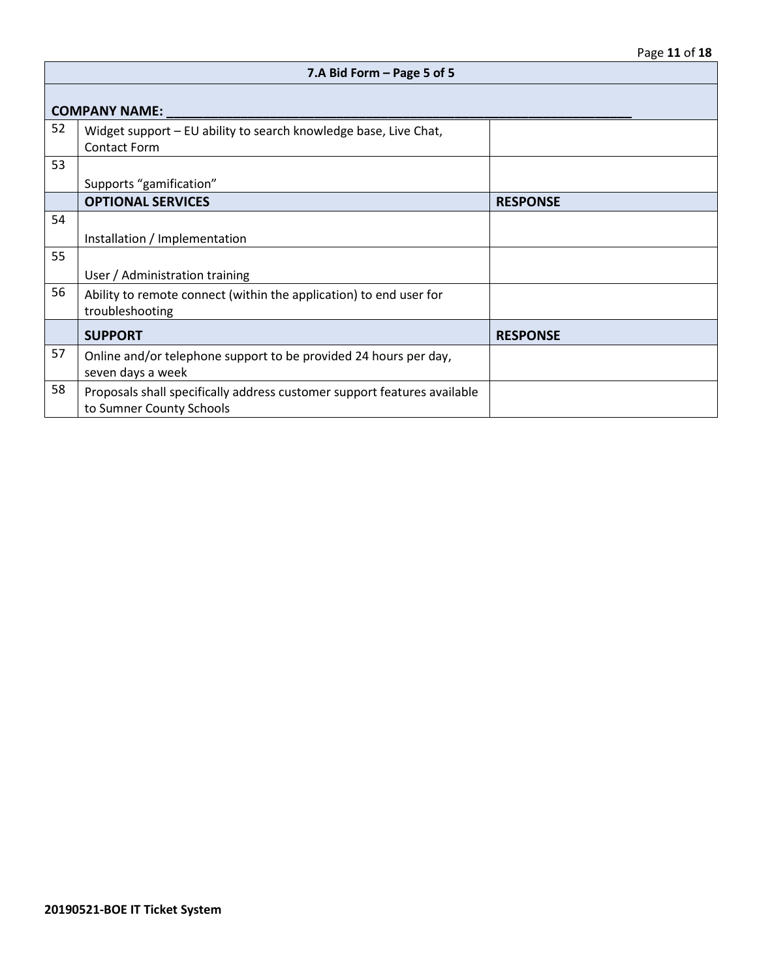|    | 7.A Bid Form - Page 5 of 5                                                                           |                 |  |
|----|------------------------------------------------------------------------------------------------------|-----------------|--|
|    | <b>COMPANY NAME:</b>                                                                                 |                 |  |
| 52 | Widget support - EU ability to search knowledge base, Live Chat,<br><b>Contact Form</b>              |                 |  |
| 53 | Supports "gamification"                                                                              |                 |  |
|    | <b>OPTIONAL SERVICES</b>                                                                             | <b>RESPONSE</b> |  |
| 54 | Installation / Implementation                                                                        |                 |  |
| 55 | User / Administration training                                                                       |                 |  |
| 56 | Ability to remote connect (within the application) to end user for<br>troubleshooting                |                 |  |
|    | <b>SUPPORT</b>                                                                                       | <b>RESPONSE</b> |  |
| 57 | Online and/or telephone support to be provided 24 hours per day,<br>seven days a week                |                 |  |
| 58 | Proposals shall specifically address customer support features available<br>to Sumner County Schools |                 |  |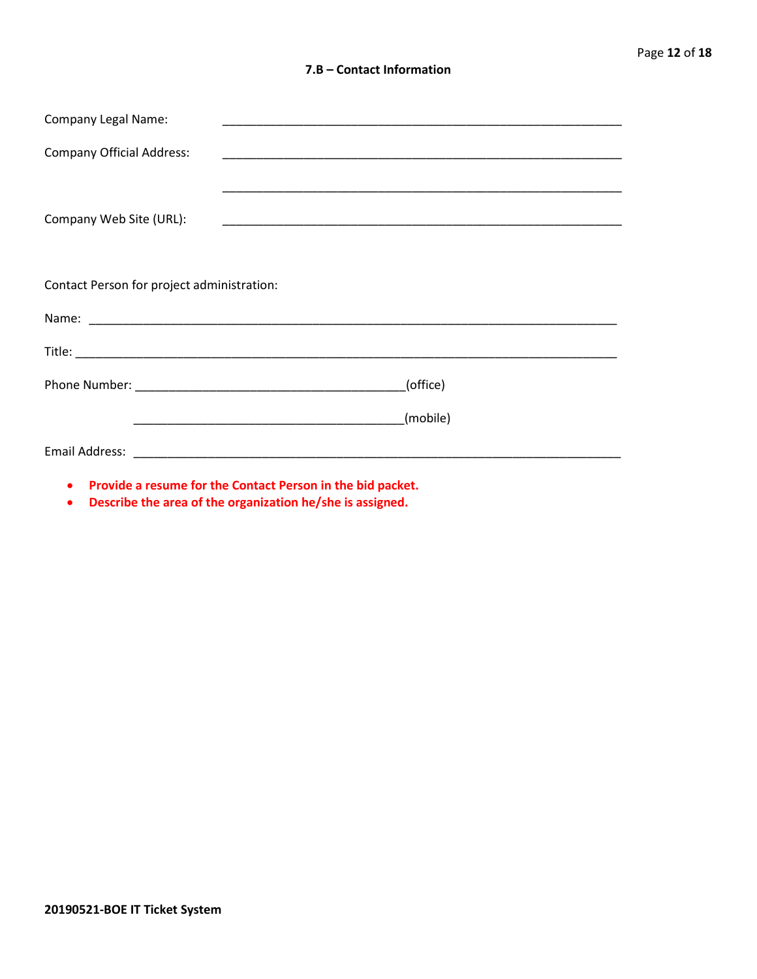#### **7.B – Contact Information**

| <b>Company Legal Name:</b>                 |                                                            |  |  |  |  |
|--------------------------------------------|------------------------------------------------------------|--|--|--|--|
| <b>Company Official Address:</b>           |                                                            |  |  |  |  |
|                                            |                                                            |  |  |  |  |
| Company Web Site (URL):                    |                                                            |  |  |  |  |
|                                            |                                                            |  |  |  |  |
| Contact Person for project administration: |                                                            |  |  |  |  |
|                                            |                                                            |  |  |  |  |
|                                            |                                                            |  |  |  |  |
|                                            | (office)                                                   |  |  |  |  |
|                                            | (mobile)                                                   |  |  |  |  |
|                                            |                                                            |  |  |  |  |
| $\bullet$                                  | Provide a resume for the Contact Person in the bid packet. |  |  |  |  |

• **Describe the area of the organization he/she is assigned.**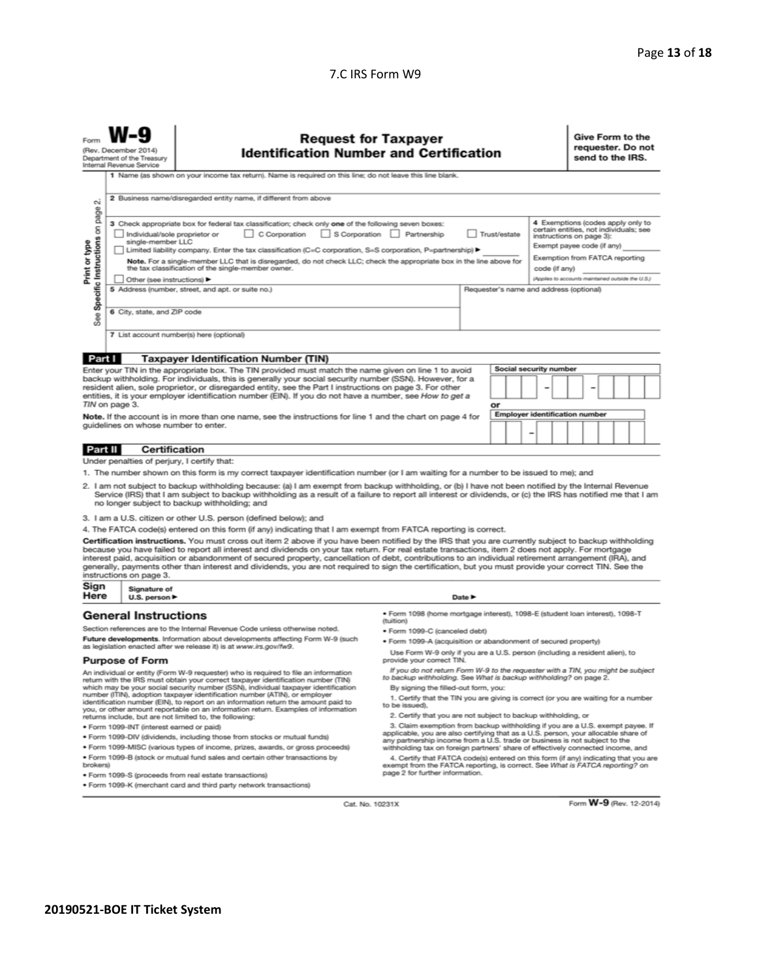#### 7.C IRS Form W9

| <b>Request for Taxpayer</b><br>Form<br><b>Identification Number and Certification</b><br>(Rev. December 2014<br>Department of the Treasury<br>Internal Revenue Service                                                                                                                                                                                                                                                                                                                                                                                                                                                                                   |                                                                                                           |                             |                                                                                                                                                                                                                                                                                                                                                                     |                                                                                                                                                                                              |  |    |                                                                                                               |   |               |  | Give Form to the<br>requester. Do not<br>send to the IRS. |                                                   |  |  |
|----------------------------------------------------------------------------------------------------------------------------------------------------------------------------------------------------------------------------------------------------------------------------------------------------------------------------------------------------------------------------------------------------------------------------------------------------------------------------------------------------------------------------------------------------------------------------------------------------------------------------------------------------------|-----------------------------------------------------------------------------------------------------------|-----------------------------|---------------------------------------------------------------------------------------------------------------------------------------------------------------------------------------------------------------------------------------------------------------------------------------------------------------------------------------------------------------------|----------------------------------------------------------------------------------------------------------------------------------------------------------------------------------------------|--|----|---------------------------------------------------------------------------------------------------------------|---|---------------|--|-----------------------------------------------------------|---------------------------------------------------|--|--|
|                                                                                                                                                                                                                                                                                                                                                                                                                                                                                                                                                                                                                                                          | 1 Name (as shown on your income tax return). Name is required on this line; do not leave this line blank. |                             |                                                                                                                                                                                                                                                                                                                                                                     |                                                                                                                                                                                              |  |    |                                                                                                               |   |               |  |                                                           |                                                   |  |  |
| οi                                                                                                                                                                                                                                                                                                                                                                                                                                                                                                                                                                                                                                                       |                                                                                                           |                             | 2 Business name/disregarded entity name, if different from above                                                                                                                                                                                                                                                                                                    |                                                                                                                                                                                              |  |    |                                                                                                               |   |               |  |                                                           |                                                   |  |  |
| See Specific Instructions on page<br>3 Check appropriate box for federal tax classification; check only one of the following seven boxes:<br>C Corporation<br>Individual/sole proprietor or<br>S Corporation Partnership<br>Trust/estate<br>instructions on page 3):<br>single-member LLC<br>Print or type<br>Exempt payee code (if any)<br>Limited liability company. Enter the tax classification (C=C corporation, S=S corporation, P=partnership) ▶<br>Note. For a single-member LLC that is disregarded, do not check LLC; check the appropriate box in the line above for                                                                          |                                                                                                           |                             |                                                                                                                                                                                                                                                                                                                                                                     |                                                                                                                                                                                              |  |    | 4 Exemptions (codes apply only to<br>certain entities, not individuals; see<br>Exemption from FATCA reporting |   |               |  |                                                           |                                                   |  |  |
|                                                                                                                                                                                                                                                                                                                                                                                                                                                                                                                                                                                                                                                          |                                                                                                           |                             | the tax classification of the single-member owner.                                                                                                                                                                                                                                                                                                                  |                                                                                                                                                                                              |  |    |                                                                                                               |   | code (if any) |  |                                                           |                                                   |  |  |
|                                                                                                                                                                                                                                                                                                                                                                                                                                                                                                                                                                                                                                                          |                                                                                                           | Other (see instructions)    |                                                                                                                                                                                                                                                                                                                                                                     |                                                                                                                                                                                              |  |    |                                                                                                               |   |               |  |                                                           | (Applies to accounts maintained outside the U.S.) |  |  |
|                                                                                                                                                                                                                                                                                                                                                                                                                                                                                                                                                                                                                                                          |                                                                                                           |                             | 5 Address (number, street, and apt. or suite no.)                                                                                                                                                                                                                                                                                                                   |                                                                                                                                                                                              |  |    | Requester's name and address (optional)                                                                       |   |               |  |                                                           |                                                   |  |  |
|                                                                                                                                                                                                                                                                                                                                                                                                                                                                                                                                                                                                                                                          |                                                                                                           | 6 City, state, and ZIP code |                                                                                                                                                                                                                                                                                                                                                                     |                                                                                                                                                                                              |  |    |                                                                                                               |   |               |  |                                                           |                                                   |  |  |
|                                                                                                                                                                                                                                                                                                                                                                                                                                                                                                                                                                                                                                                          |                                                                                                           |                             | 7 List account number(s) here (optional)                                                                                                                                                                                                                                                                                                                            |                                                                                                                                                                                              |  |    |                                                                                                               |   |               |  |                                                           |                                                   |  |  |
| Part I                                                                                                                                                                                                                                                                                                                                                                                                                                                                                                                                                                                                                                                   |                                                                                                           |                             | <b>Taxpayer Identification Number (TIN)</b>                                                                                                                                                                                                                                                                                                                         |                                                                                                                                                                                              |  |    |                                                                                                               |   |               |  |                                                           |                                                   |  |  |
|                                                                                                                                                                                                                                                                                                                                                                                                                                                                                                                                                                                                                                                          |                                                                                                           |                             | Enter your TIN in the appropriate box. The TIN provided must match the name given on line 1 to avoid                                                                                                                                                                                                                                                                |                                                                                                                                                                                              |  |    | Social security number                                                                                        |   |               |  |                                                           |                                                   |  |  |
|                                                                                                                                                                                                                                                                                                                                                                                                                                                                                                                                                                                                                                                          |                                                                                                           |                             | backup withholding. For individuals, this is generally your social security number (SSN). However, for a                                                                                                                                                                                                                                                            |                                                                                                                                                                                              |  |    |                                                                                                               |   |               |  |                                                           |                                                   |  |  |
|                                                                                                                                                                                                                                                                                                                                                                                                                                                                                                                                                                                                                                                          |                                                                                                           |                             | resident alien, sole proprietor, or disregarded entity, see the Part I instructions on page 3. For other<br>entities, it is your employer identification number (EIN). If you do not have a number, see How to get a                                                                                                                                                |                                                                                                                                                                                              |  |    |                                                                                                               | - |               |  |                                                           |                                                   |  |  |
| TIN on page 3.                                                                                                                                                                                                                                                                                                                                                                                                                                                                                                                                                                                                                                           |                                                                                                           |                             |                                                                                                                                                                                                                                                                                                                                                                     |                                                                                                                                                                                              |  | or |                                                                                                               |   |               |  |                                                           |                                                   |  |  |
|                                                                                                                                                                                                                                                                                                                                                                                                                                                                                                                                                                                                                                                          |                                                                                                           |                             | Note. If the account is in more than one name, see the instructions for line 1 and the chart on page 4 for                                                                                                                                                                                                                                                          |                                                                                                                                                                                              |  |    | <b>Employer identification number</b>                                                                         |   |               |  |                                                           |                                                   |  |  |
|                                                                                                                                                                                                                                                                                                                                                                                                                                                                                                                                                                                                                                                          |                                                                                                           |                             | guidelines on whose number to enter.                                                                                                                                                                                                                                                                                                                                |                                                                                                                                                                                              |  |    |                                                                                                               |   |               |  |                                                           |                                                   |  |  |
|                                                                                                                                                                                                                                                                                                                                                                                                                                                                                                                                                                                                                                                          |                                                                                                           |                             |                                                                                                                                                                                                                                                                                                                                                                     |                                                                                                                                                                                              |  |    |                                                                                                               |   |               |  |                                                           |                                                   |  |  |
| Certification<br>Part II                                                                                                                                                                                                                                                                                                                                                                                                                                                                                                                                                                                                                                 |                                                                                                           |                             |                                                                                                                                                                                                                                                                                                                                                                     |                                                                                                                                                                                              |  |    |                                                                                                               |   |               |  |                                                           |                                                   |  |  |
|                                                                                                                                                                                                                                                                                                                                                                                                                                                                                                                                                                                                                                                          |                                                                                                           |                             | Under penalties of perjury, I certify that:                                                                                                                                                                                                                                                                                                                         |                                                                                                                                                                                              |  |    |                                                                                                               |   |               |  |                                                           |                                                   |  |  |
|                                                                                                                                                                                                                                                                                                                                                                                                                                                                                                                                                                                                                                                          |                                                                                                           |                             | 1. The number shown on this form is my correct taxpayer identification number (or I am waiting for a number to be issued to me); and                                                                                                                                                                                                                                |                                                                                                                                                                                              |  |    |                                                                                                               |   |               |  |                                                           |                                                   |  |  |
|                                                                                                                                                                                                                                                                                                                                                                                                                                                                                                                                                                                                                                                          |                                                                                                           |                             | 2. I am not subject to backup withholding because: (a) I am exempt from backup withholding, or (b) I have not been notified by the Internal Revenue<br>Service (IRS) that I am subject to backup withholding as a result of a failure to report all interest or dividends, or (c) the IRS has notified me that I am<br>no longer subject to backup withholding; and |                                                                                                                                                                                              |  |    |                                                                                                               |   |               |  |                                                           |                                                   |  |  |
| 3. I am a U.S. citizen or other U.S. person (defined below); and                                                                                                                                                                                                                                                                                                                                                                                                                                                                                                                                                                                         |                                                                                                           |                             |                                                                                                                                                                                                                                                                                                                                                                     |                                                                                                                                                                                              |  |    |                                                                                                               |   |               |  |                                                           |                                                   |  |  |
|                                                                                                                                                                                                                                                                                                                                                                                                                                                                                                                                                                                                                                                          |                                                                                                           |                             | 4. The FATCA code(s) entered on this form (if any) indicating that I am exempt from FATCA reporting is correct.                                                                                                                                                                                                                                                     |                                                                                                                                                                                              |  |    |                                                                                                               |   |               |  |                                                           |                                                   |  |  |
| Certification instructions. You must cross out item 2 above if you have been notified by the IRS that you are currently subject to backup withholding<br>because you have failed to report all interest and dividends on your tax return. For real estate transactions, item 2 does not apply. For mortgage<br>interest paid, acquisition or abandonment of secured property, cancellation of debt, contributions to an individual retirement arrangement (IRA), and<br>generally, payments other than interest and dividends, you are not required to sign the certification, but you must provide your correct TIN. See the<br>instructions on page 3. |                                                                                                           |                             |                                                                                                                                                                                                                                                                                                                                                                     |                                                                                                                                                                                              |  |    |                                                                                                               |   |               |  |                                                           |                                                   |  |  |
| Sign<br>Here                                                                                                                                                                                                                                                                                                                                                                                                                                                                                                                                                                                                                                             | Signature of<br>U.S. person $\blacktriangleright$<br>Date P                                               |                             |                                                                                                                                                                                                                                                                                                                                                                     |                                                                                                                                                                                              |  |    |                                                                                                               |   |               |  |                                                           |                                                   |  |  |
| · Form 1098 (home mortgage interest), 1098-E (student loan interest), 1098-T<br><b>General Instructions</b>                                                                                                                                                                                                                                                                                                                                                                                                                                                                                                                                              |                                                                                                           |                             |                                                                                                                                                                                                                                                                                                                                                                     |                                                                                                                                                                                              |  |    |                                                                                                               |   |               |  |                                                           |                                                   |  |  |
| <i>(tuition)</i><br>Section references are to the Internal Revenue Code unless otherwise noted.                                                                                                                                                                                                                                                                                                                                                                                                                                                                                                                                                          |                                                                                                           |                             |                                                                                                                                                                                                                                                                                                                                                                     |                                                                                                                                                                                              |  |    |                                                                                                               |   |               |  |                                                           |                                                   |  |  |
| · Form 1099-C (canceled debt)<br>Future developments. Information about developments affecting Form W-9 (such<br>· Form 1099-A (acquisition or abandonment of secured property)                                                                                                                                                                                                                                                                                                                                                                                                                                                                          |                                                                                                           |                             |                                                                                                                                                                                                                                                                                                                                                                     |                                                                                                                                                                                              |  |    |                                                                                                               |   |               |  |                                                           |                                                   |  |  |
| as legislation enacted after we release it) is at www.irs.gov/fw9.<br>Use Form W-9 only if you are a U.S. person (including a resident alien), to                                                                                                                                                                                                                                                                                                                                                                                                                                                                                                        |                                                                                                           |                             |                                                                                                                                                                                                                                                                                                                                                                     |                                                                                                                                                                                              |  |    |                                                                                                               |   |               |  |                                                           |                                                   |  |  |
|                                                                                                                                                                                                                                                                                                                                                                                                                                                                                                                                                                                                                                                          |                                                                                                           | <b>Purpose of Form</b>      |                                                                                                                                                                                                                                                                                                                                                                     | provide your correct TIN.                                                                                                                                                                    |  |    |                                                                                                               |   |               |  |                                                           |                                                   |  |  |
|                                                                                                                                                                                                                                                                                                                                                                                                                                                                                                                                                                                                                                                          |                                                                                                           |                             | An individual or entity (Form W-9 requester) who is required to file an information<br>return with the IRS must obtain your correct taxpayer identification number (TIN)<br>which may be your social security number (SSN), individual taxpayer identification                                                                                                      | If you do not return Form W-9 to the requester with a TIN, you might be subject<br>to backup withholding. See What is backup withholding? on page 2.<br>By signing the filled-out form, you: |  |    |                                                                                                               |   |               |  |                                                           |                                                   |  |  |
|                                                                                                                                                                                                                                                                                                                                                                                                                                                                                                                                                                                                                                                          |                                                                                                           |                             | number (ITIN), adoption taxpayer identification number (ATIN), or employer<br>identification number (EIN), to report on an information return the amount paid to                                                                                                                                                                                                    | 1. Certify that the TIN you are giving is correct (or you are waiting for a number                                                                                                           |  |    |                                                                                                               |   |               |  |                                                           |                                                   |  |  |
|                                                                                                                                                                                                                                                                                                                                                                                                                                                                                                                                                                                                                                                          |                                                                                                           |                             | you, or other amount reportable on an information return. Examples of information<br>returns include, but are not limited to, the following:                                                                                                                                                                                                                        | to be issued).<br>2. Certify that you are not subject to backup withholding, or                                                                                                              |  |    |                                                                                                               |   |               |  |                                                           |                                                   |  |  |

· Form 1099-INT (interest earned or paid)

 $W-Q$ 

- . Form 1099-DIV (dividends, including those from stocks or mutual funds)
- · Form 1099-MISC (various types of income, prizes, awards, or gross proceeds)
- . Form 1099-B (stock or mutual fund sales and certain other transactions by brokers)
- · Form 1099-S (proceeds from real estate transactions)
- . Form 1099-K (merchant card and third party network transactions)
- 
- 2. Celum exemption from backup withholding if you are a U.S. exempt payee. If<br>3. Claim exemption from backup withholding if you are a U.S. exempt payee. If<br>applicable, you are also certifying that as a U.S. person, your al
- 4. Certify that FATCA code(s) entered on this form (if any) indicating that you are<br>exempt from the FATCA reporting, is correct. See What is FATCA reporting?<br>page 2 for further information.

Cat. No. 10231X

Form W-9 (Rev. 12-2014)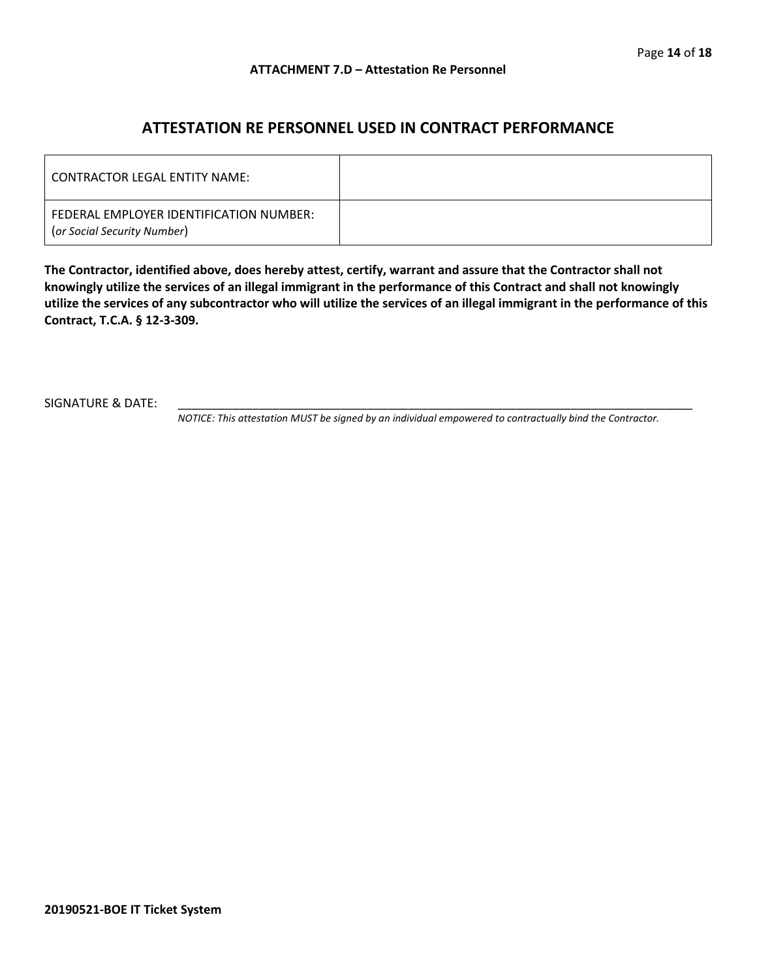## **ATTESTATION RE PERSONNEL USED IN CONTRACT PERFORMANCE**

| l CONTRACTOR LEGAL ENTITY NAME: I                                      |  |
|------------------------------------------------------------------------|--|
| FEDERAL EMPLOYER IDENTIFICATION NUMBER:<br>(or Social Security Number) |  |

**The Contractor, identified above, does hereby attest, certify, warrant and assure that the Contractor shall not knowingly utilize the services of an illegal immigrant in the performance of this Contract and shall not knowingly utilize the services of any subcontractor who will utilize the services of an illegal immigrant in the performance of this Contract, T.C.A. § 12-3-309.**

SIGNATURE & DATE:

*NOTICE: This attestation MUST be signed by an individual empowered to contractually bind the Contractor.*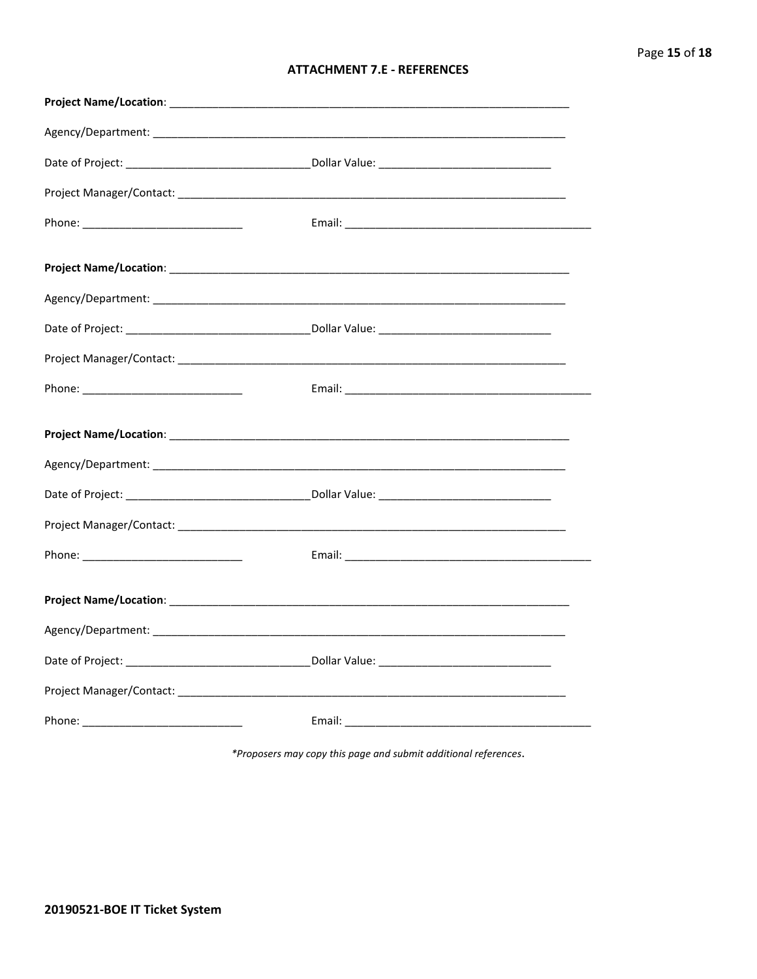#### **ATTACHMENT 7.E - REFERENCES**

\*Proposers may copy this page and submit additional references.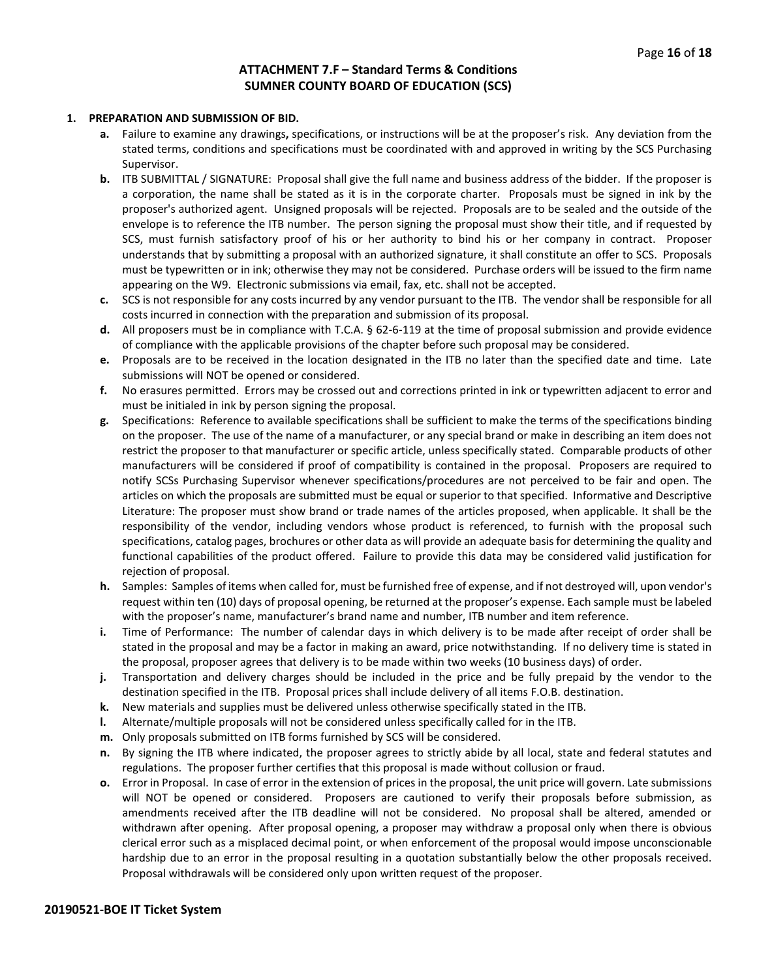#### **ATTACHMENT 7.F – Standard Terms & Conditions SUMNER COUNTY BOARD OF EDUCATION (SCS)**

#### **1. PREPARATION AND SUBMISSION OF BID.**

- **a.** Failure to examine any drawings**,** specifications, or instructions will be at the proposer's risk. Any deviation from the stated terms, conditions and specifications must be coordinated with and approved in writing by the SCS Purchasing Supervisor.
- **b.** ITB SUBMITTAL / SIGNATURE: Proposal shall give the full name and business address of the bidder. If the proposer is a corporation, the name shall be stated as it is in the corporate charter. Proposals must be signed in ink by the proposer's authorized agent. Unsigned proposals will be rejected. Proposals are to be sealed and the outside of the envelope is to reference the ITB number. The person signing the proposal must show their title, and if requested by SCS, must furnish satisfactory proof of his or her authority to bind his or her company in contract. Proposer understands that by submitting a proposal with an authorized signature, it shall constitute an offer to SCS. Proposals must be typewritten or in ink; otherwise they may not be considered. Purchase orders will be issued to the firm name appearing on the W9. Electronic submissions via email, fax, etc. shall not be accepted.
- **c.** SCS is not responsible for any costs incurred by any vendor pursuant to the ITB. The vendor shall be responsible for all costs incurred in connection with the preparation and submission of its proposal.
- **d.** All proposers must be in compliance with T.C.A. § 62-6-119 at the time of proposal submission and provide evidence of compliance with the applicable provisions of the chapter before such proposal may be considered.
- **e.** Proposals are to be received in the location designated in the ITB no later than the specified date and time. Late submissions will NOT be opened or considered.
- **f.** No erasures permitted. Errors may be crossed out and corrections printed in ink or typewritten adjacent to error and must be initialed in ink by person signing the proposal.
- **g.** Specifications: Reference to available specifications shall be sufficient to make the terms of the specifications binding on the proposer. The use of the name of a manufacturer, or any special brand or make in describing an item does not restrict the proposer to that manufacturer or specific article, unless specifically stated. Comparable products of other manufacturers will be considered if proof of compatibility is contained in the proposal. Proposers are required to notify SCSs Purchasing Supervisor whenever specifications/procedures are not perceived to be fair and open. The articles on which the proposals are submitted must be equal or superior to that specified. Informative and Descriptive Literature: The proposer must show brand or trade names of the articles proposed, when applicable. It shall be the responsibility of the vendor, including vendors whose product is referenced, to furnish with the proposal such specifications, catalog pages, brochures or other data as will provide an adequate basis for determining the quality and functional capabilities of the product offered. Failure to provide this data may be considered valid justification for rejection of proposal.
- **h.** Samples: Samples of items when called for, must be furnished free of expense, and if not destroyed will, upon vendor's request within ten (10) days of proposal opening, be returned at the proposer's expense. Each sample must be labeled with the proposer's name, manufacturer's brand name and number, ITB number and item reference.
- **i.** Time of Performance: The number of calendar days in which delivery is to be made after receipt of order shall be stated in the proposal and may be a factor in making an award, price notwithstanding. If no delivery time is stated in the proposal, proposer agrees that delivery is to be made within two weeks (10 business days) of order.
- **j.** Transportation and delivery charges should be included in the price and be fully prepaid by the vendor to the destination specified in the ITB. Proposal prices shall include delivery of all items F.O.B. destination.
- **k.** New materials and supplies must be delivered unless otherwise specifically stated in the ITB.
- **l.** Alternate/multiple proposals will not be considered unless specifically called for in the ITB.
- **m.** Only proposals submitted on ITB forms furnished by SCS will be considered.
- **n.** By signing the ITB where indicated, the proposer agrees to strictly abide by all local, state and federal statutes and regulations. The proposer further certifies that this proposal is made without collusion or fraud.
- **o.** Error in Proposal. In case of error in the extension of prices in the proposal, the unit price will govern. Late submissions will NOT be opened or considered. Proposers are cautioned to verify their proposals before submission, as amendments received after the ITB deadline will not be considered. No proposal shall be altered, amended or withdrawn after opening. After proposal opening, a proposer may withdraw a proposal only when there is obvious clerical error such as a misplaced decimal point, or when enforcement of the proposal would impose unconscionable hardship due to an error in the proposal resulting in a quotation substantially below the other proposals received. Proposal withdrawals will be considered only upon written request of the proposer.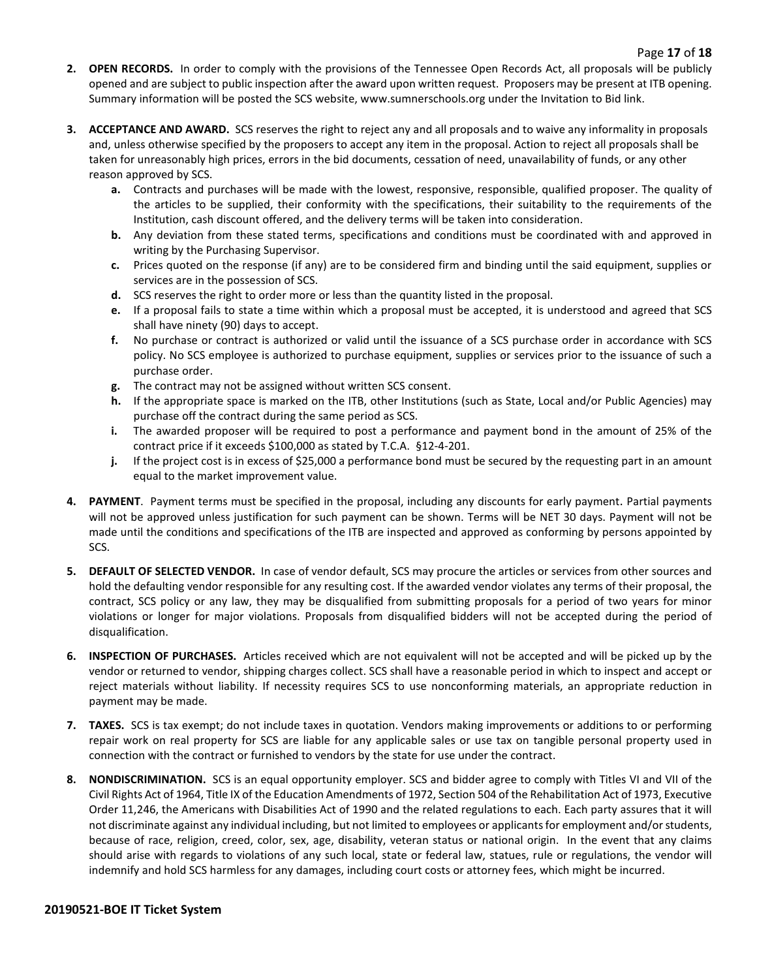- **2. OPEN RECORDS.** In order to comply with the provisions of the Tennessee Open Records Act, all proposals will be publicly opened and are subject to public inspection after the award upon written request. Proposers may be present at ITB opening. Summary information will be posted the SCS website, www.sumnerschools.org under the Invitation to Bid link.
- **3. ACCEPTANCE AND AWARD.** SCS reserves the right to reject any and all proposals and to waive any informality in proposals and, unless otherwise specified by the proposers to accept any item in the proposal. Action to reject all proposals shall be taken for unreasonably high prices, errors in the bid documents, cessation of need, unavailability of funds, or any other reason approved by SCS.
	- **a.** Contracts and purchases will be made with the lowest, responsive, responsible, qualified proposer. The quality of the articles to be supplied, their conformity with the specifications, their suitability to the requirements of the Institution, cash discount offered, and the delivery terms will be taken into consideration.
	- **b.** Any deviation from these stated terms, specifications and conditions must be coordinated with and approved in writing by the Purchasing Supervisor.
	- **c.** Prices quoted on the response (if any) are to be considered firm and binding until the said equipment, supplies or services are in the possession of SCS.
	- **d.** SCS reserves the right to order more or less than the quantity listed in the proposal.
	- **e.** If a proposal fails to state a time within which a proposal must be accepted, it is understood and agreed that SCS shall have ninety (90) days to accept.
	- **f.** No purchase or contract is authorized or valid until the issuance of a SCS purchase order in accordance with SCS policy. No SCS employee is authorized to purchase equipment, supplies or services prior to the issuance of such a purchase order.
	- **g.** The contract may not be assigned without written SCS consent.
	- **h.** If the appropriate space is marked on the ITB, other Institutions (such as State, Local and/or Public Agencies) may purchase off the contract during the same period as SCS.
	- **i.** The awarded proposer will be required to post a performance and payment bond in the amount of 25% of the contract price if it exceeds \$100,000 as stated by T.C.A. §12-4-201.
	- **j.** If the project cost is in excess of \$25,000 a performance bond must be secured by the requesting part in an amount equal to the market improvement value.
- **4. PAYMENT**. Payment terms must be specified in the proposal, including any discounts for early payment. Partial payments will not be approved unless justification for such payment can be shown. Terms will be NET 30 days. Payment will not be made until the conditions and specifications of the ITB are inspected and approved as conforming by persons appointed by SCS.
- **5. DEFAULT OF SELECTED VENDOR.** In case of vendor default, SCS may procure the articles or services from other sources and hold the defaulting vendor responsible for any resulting cost. If the awarded vendor violates any terms of their proposal, the contract, SCS policy or any law, they may be disqualified from submitting proposals for a period of two years for minor violations or longer for major violations. Proposals from disqualified bidders will not be accepted during the period of disqualification.
- **6. INSPECTION OF PURCHASES.** Articles received which are not equivalent will not be accepted and will be picked up by the vendor or returned to vendor, shipping charges collect. SCS shall have a reasonable period in which to inspect and accept or reject materials without liability. If necessity requires SCS to use nonconforming materials, an appropriate reduction in payment may be made.
- **7. TAXES.** SCS is tax exempt; do not include taxes in quotation. Vendors making improvements or additions to or performing repair work on real property for SCS are liable for any applicable sales or use tax on tangible personal property used in connection with the contract or furnished to vendors by the state for use under the contract.
- **8. NONDISCRIMINATION.** SCS is an equal opportunity employer. SCS and bidder agree to comply with Titles VI and VII of the Civil Rights Act of 1964, Title IX of the Education Amendments of 1972, Section 504 of the Rehabilitation Act of 1973, Executive Order 11,246, the Americans with Disabilities Act of 1990 and the related regulations to each. Each party assures that it will not discriminate against any individual including, but not limited to employees or applicants for employment and/or students, because of race, religion, creed, color, sex, age, disability, veteran status or national origin. In the event that any claims should arise with regards to violations of any such local, state or federal law, statues, rule or regulations, the vendor will indemnify and hold SCS harmless for any damages, including court costs or attorney fees, which might be incurred.